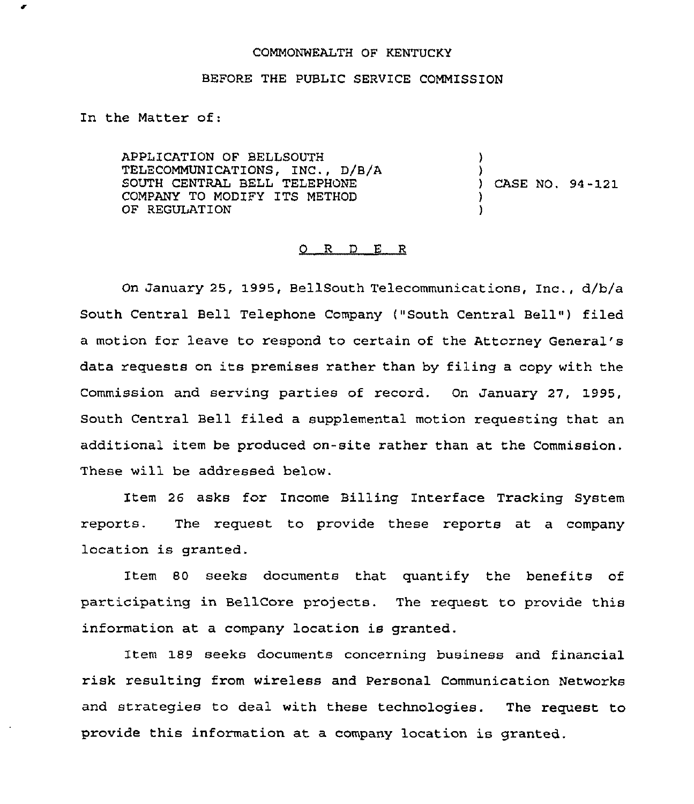## COMMONWEALTH OF KENTUCKY

## BEFORE THE PUBLIC SERVICE COMMISSION

In the Matter of:

APPLICATION OF BELLSOUTH TELECOMMUNICATIONS, INC., D/B/A SOUTH CENTRAL BELL TELEPHONE COMPANY TO MODIFY ITS METHOD OF REGULATION ) ) ) CASE NO. 94-121 ) )

## 0 R <sup>D</sup> E R

On January 25, 1995, BellSouth Telecommunications, Inc., d/b/a South Central Bell Telephone Company ("South Central Bell") filed a motion for leave to respond to certain of the Attorney General' data requests on its premises rather than by filing <sup>a</sup> copy with the Commission and serving parties of record. On January 27, 1995, South Central Bell filed a supplemental motion requesting that an additional item be produced on-site rather than at the Commission. These will be addressed below.

Item 26 asks for Income Billing Interface Tracking System reports. The request to provide these reports at a company location is granted.

Item 80 seeks documents that quantify the benefits of participating in BellCore projects. The request to provide this information at a company location is granted.

Item 189 seeks documents concerning business and financial risk resulting from wireless and Personal Communication Networks and strategies to deal with these technologies. The request to provide this information at a company location is granted.